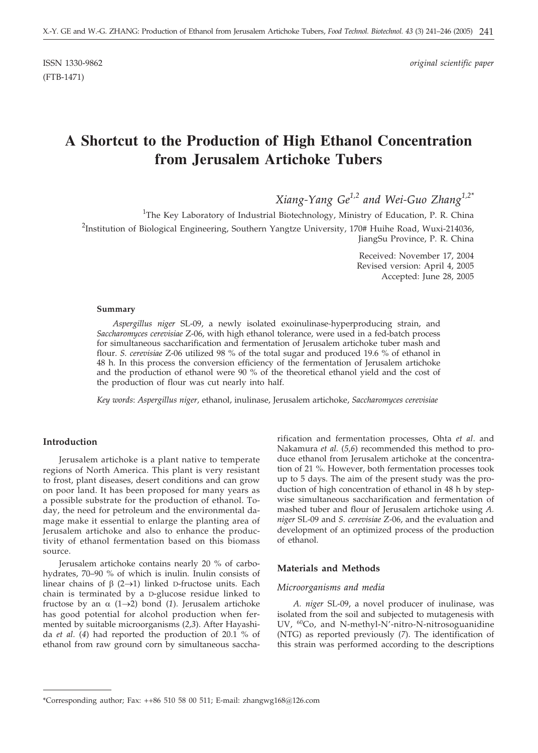ISSN 1330-9862 *original scientific paper*

# **A Shortcut to the Production of High Ethanol Concentration from Jerusalem Artichoke Tubers**

*Xiang-Yang Ge1,2 and Wei-Guo Zhang1,2\**

<sup>1</sup>The Key Laboratory of Industrial Biotechnology, Ministry of Education, P. R. China <sup>2</sup>Institution of Biological Engineering, Southern Yangtze University, 170# Huihe Road, Wuxi-214036, JiangSu Province, P. R. China

> Received: November 17, 2004 Revised version: April 4, 2005 Accepted: June 28, 2005

#### **Summary**

*Aspergillus niger* SL-09, a newly isolated exoinulinase*-*hyperproducing strain, and *Saccharomyces cerevisiae* Z-06, with high ethanol tolerance, were used in a fed-batch process for simultaneous saccharification and fermentation of Jerusalem artichoke tuber mash and flour. *S. cerevisiae* Z-06 utilized 98 % of the total sugar and produced 19.6 % of ethanol in 48 h. In this process the conversion efficiency of the fermentation of Jerusalem artichoke and the production of ethanol were 90 % of the theoretical ethanol yield and the cost of the production of flour was cut nearly into half.

*Key words*: *Aspergillus niger,* ethanol, inulinase, Jerusalem artichoke, *Saccharomyces cerevisiae*

# **Introduction**

Jerusalem artichoke is a plant native to temperate regions of North America. This plant is very resistant to frost, plant diseases, desert conditions and can grow on poor land. It has been proposed for many years as a possible substrate for the production of ethanol. Today, the need for petroleum and the environmental damage make it essential to enlarge the planting area of Jerusalem artichoke and also to enhance the productivity of ethanol fermentation based on this biomass source.

Jerusalem artichoke contains nearly 20 % of carbohydrates, 70–90 % of which is inulin. Inulin consists of linear chains of  $\beta$  (2 $\rightarrow$ 1) linked D-fructose units. Each chain is terminated by a D-glucose residue linked to fructose by an  $\alpha$  (1->2) bond (1). Jerusalem artichoke has good potential for alcohol production when fermented by suitable microorganisms (*2,3*). After Hayashida *et al*. (*4*) had reported the production of 20.1 % of ethanol from raw ground corn by simultaneous saccha-

rification and fermentation processes, Ohta *et al*. and Nakamura *et al.* (*5,6*) recommended this method to produce ethanol from Jerusalem artichoke at the concentration of 21 %. However, both fermentation processes took up to 5 days. The aim of the present study was the production of high concentration of ethanol in 48 h by stepwise simultaneous saccharification and fermentation of mashed tuber and flour of Jerusalem artichoke using *A. niger* SL-09 and *S. cerevisiae* Z-06, and the evaluation and development of an optimized process of the production of ethanol.

# **Materials and Methods**

#### *Microorganisms and media*

*A. niger* SL-09, a novel producer of inulinase, was isolated from the soil and subjected to mutagenesis with UV, <sup>60</sup>Co, and N-methyl-N'-nitro-N-nitrosoguanidine (NTG) as reported previously (*7*). The identification of this strain was performed according to the descriptions

<sup>\*</sup>Corresponding author; Fax: ++86 510 58 00 511; E-mail: zhangwg168*@*126.com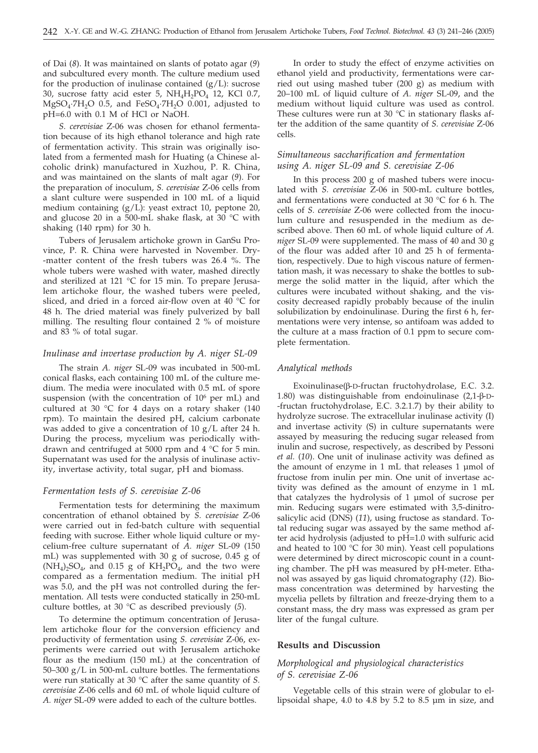of Dai (*8*). It was maintained on slants of potato agar (*9*) and subcultured every month. The culture medium used for the production of inulinase contained  $(g/L)$ : sucrose 30, sucrose fatty acid ester 5,  $NH<sub>4</sub>H<sub>2</sub>PO<sub>4</sub>$  12, KCl 0.7,  $MgSO_4$ <sup>-7H<sub>2</sub>O 0.5, and FeSO<sub>4</sub>·7H<sub>2</sub>O 0.001, adjusted to</sup> pH=6.0 with 0.1 M of HCl or NaOH.

*S. cerevisiae* Z-06 was chosen for ethanol fermentation because of its high ethanol tolerance and high rate of fermentation activity. This strain was originally isolated from a fermented mash for Huating (a Chinese alcoholic drink) manufactured in Xuzhou, P. R. China, and was maintained on the slants of malt agar (*9*). For the preparation of inoculum, *S. cerevisiae* Z-06 cells from a slant culture were suspended in 100 mL of a liquid medium containing (g/L): yeast extract 10, peptone 20, and glucose 20 in a 500-mL shake flask, at 30 °C with shaking (140 rpm) for 30 h.

Tubers of Jerusalem artichoke grown in GanSu Province, P. R. China were harvested in November. Dry- -matter content of the fresh tubers was 26.4 %. The whole tubers were washed with water, mashed directly and sterilized at 121 °C for 15 min. To prepare Jerusalem artichoke flour, the washed tubers were peeled, sliced, and dried in a forced air-flow oven at 40 °C for 48 h. The dried material was finely pulverized by ball milling. The resulting flour contained 2 % of moisture and 83 % of total sugar.

#### *Inulinase and invertase production by A. niger SL-09*

The strain *A. niger* SL-09 was incubated in 500-mL conical flasks, each containing 100 mL of the culture medium. The media were inoculated with 0.5 mL of spore suspension (with the concentration of  $10^6$  per mL) and cultured at 30 °C for 4 days on a rotary shaker (140 rpm). To maintain the desired pH, calcium carbonate was added to give a concentration of 10 g/L after 24 h. During the process, mycelium was periodically withdrawn and centrifuged at 5000 rpm and 4 °C for 5 min. Supernatant was used for the analysis of inulinase activity, invertase activity, total sugar, pH and biomass.

#### *Fermentation tests of S. cerevisiae Z-06*

Fermentation tests for determining the maximum concentration of ethanol obtained by *S. cerevisiae* Z-06 were carried out in fed-batch culture with sequential feeding with sucrose. Either whole liquid culture or mycelium-free culture supernatant of *A. niger* SL-09 (150 mL) was supplemented with 30 g of sucrose, 0.45 g of  $(NH_4)_2SO_4$ , and 0.15 g of  $KH_2PO_4$ , and the two were compared as a fermentation medium. The initial pH was 5.0, and the pH was not controlled during the fermentation. All tests were conducted statically in 250-mL culture bottles, at 30 °C as described previously (*5*).

To determine the optimum concentration of Jerusalem artichoke flour for the conversion efficiency and productivity of fermentation using *S. cerevisiae* Z-06, experiments were carried out with Jerusalem artichoke flour as the medium (150 mL) at the concentration of 50–300 g/L in 500-mL culture bottles. The fermentations were run statically at 30 °C after the same quantity of *S. cerevisiae* Z-06 cells and 60 mL of whole liquid culture of *A. niger* SL-09 were added to each of the culture bottles.

In order to study the effect of enzyme activities on ethanol yield and productivity, fermentations were carried out using mashed tuber (200 g) as medium with 20–100 mL of liquid culture of *A. niger* SL-09, and the medium without liquid culture was used as control. These cultures were run at 30  $^{\circ}$ C in stationary flasks after the addition of the same quantity of *S. cerevisiae* Z-06 cells.

# *Simultaneous saccharification and fermentation using A. niger SL-09 and S. cerevisiae Z-06*

In this process 200 g of mashed tubers were inoculated with *S. cerevisiae* Z-06 in 500-mL culture bottles, and fermentations were conducted at 30 °C for 6 h. The cells of *S. cerevisiae* Z-06 were collected from the inoculum culture and resuspended in the medium as described above. Then 60 mL of whole liquid culture of *A. niger* SL-09 were supplemented. The mass of 40 and 30 g of the flour was added after 10 and 25 h of fermentation, respectively. Due to high viscous nature of fermentation mash, it was necessary to shake the bottles to submerge the solid matter in the liquid, after which the cultures were incubated without shaking, and the viscosity decreased rapidly probably because of the inulin solubilization by endoinulinase. During the first 6 h, fermentations were very intense, so antifoam was added to the culture at a mass fraction of 0.1 ppm to secure complete fermentation.

#### *Analytical methods*

Exoinulinase(b-D-fructan fructohydrolase, E.C. 3.2. 1.80) was distinguishable from endoinulinase  $(2,1-\beta-D-$ -fructan fructohydrolase, E.C. 3.2.1.7) by their ability to hydrolyze sucrose. The extracellular inulinase activity (I) and invertase activity (S) in culture supernatants were assayed by measuring the reducing sugar released from inulin and sucrose, respectively, as described by Pessoni *et al.* (*10*). One unit of inulinase activity was defined as the amount of enzyme in 1 mL that releases 1 µmol of fructose from inulin per min. One unit of invertase activity was defined as the amount of enzyme in 1 mL that catalyzes the hydrolysis of 1 µmol of sucrose per min. Reducing sugars were estimated with 3,5-dinitrosalicylic acid (DNS) (*11*), using fructose as standard. Total reducing sugar was assayed by the same method after acid hydrolysis (adjusted to pH=1.0 with sulfuric acid and heated to 100  $\degree$ C for 30 min). Yeast cell populations were determined by direct microscopic count in a counting chamber. The pH was measured by pH-meter. Ethanol was assayed by gas liquid chromatography (*12*). Biomass concentration was determined by harvesting the mycelia pellets by filtration and freeze-drying them to a constant mass, the dry mass was expressed as gram per liter of the fungal culture.

#### **Results and Discussion**

### *Morphological and physiological characteristics of S. cerevisiae Z-06*

Vegetable cells of this strain were of globular to ellipsoidal shape, 4.0 to 4.8 by 5.2 to 8.5 µm in size, and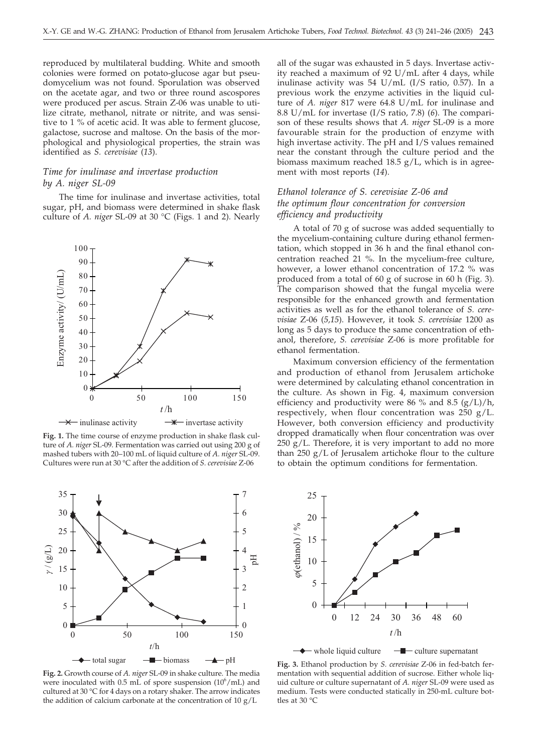reproduced by multilateral budding. White and smooth colonies were formed on potato-glucose agar but pseudomycelium was not found. Sporulation was observed on the acetate agar, and two or three round ascospores were produced per ascus. Strain Z-06 was unable to utilize citrate, methanol, nitrate or nitrite, and was sensitive to 1 % of acetic acid. It was able to ferment glucose, galactose, sucrose and maltose. On the basis of the morphological and physiological properties, the strain was identified as *S. cerevisiae* (*13*).

# *Time for inulinase and invertase production by A. niger SL-09*

The time for inulinase and invertase activities, total sugar, pH, and biomass were determined in shake flask culture of *A. niger* SL-09 at 30 °C (Figs. 1 and 2). Nearly



**Fig. 1.** The time course of enzyme production in shake flask culture of *A. niger* SL-09. Fermentation was carried out using 200 g of mashed tubers with 20–100 mL of liquid culture of *A. niger* SL-09. Cultures were run at 30 °C after the addition of *S. cerevisiae* Z-06



**Fig. 2.** Growth course of *A. niger* SL-09 in shake culture. The media were inoculated with  $0.5$  mL of spore suspension  $(10^6/mL)$  and cultured at 30 °C for 4 days on a rotary shaker. The arrow indicates the addition of calcium carbonate at the concentration of  $10 \text{ g}/\text{L}$ 

all of the sugar was exhausted in 5 days. Invertase activity reached a maximum of 92 U/mL after 4 days, while inulinase activity was 54 U/mL (I/S ratio, 0.57). In a previous work the enzyme activities in the liquid culture of *A. niger* 817 were 64.8 U/mL for inulinase and 8.8 U/mL for invertase (I/S ratio, 7.8) (*6*). The comparison of these results shows that *A. niger* SL-09 is a more favourable strain for the production of enzyme with high invertase activity. The pH and I/S values remained near the constant through the culture period and the biomass maximum reached 18.5  $g/L$ , which is in agreement with most reports (*14*).

# *Ethanol tolerance of S. cerevisiae Z-06 and the optimum flour concentration for conversion efficiency and productivity*

A total of 70 g of sucrose was added sequentially to the mycelium-containing culture during ethanol fermentation, which stopped in 36 h and the final ethanol concentration reached 21 %. In the mycelium-free culture, however, a lower ethanol concentration of 17.2 % was produced from a total of 60 g of sucrose in 60 h (Fig. 3). The comparison showed that the fungal mycelia were responsible for the enhanced growth and fermentation activities as well as for the ethanol tolerance of *S. cerevisiae* Z-06 (*5,15*). However, it took *S. cerevisiae* 1200 as long as 5 days to produce the same concentration of ethanol, therefore, *S. cerevisiae* Z-06 is more profitable for ethanol fermentation.

Maximum conversion efficiency of the fermentation and production of ethanol from Jerusalem artichoke were determined by calculating ethanol concentration in the culture. As shown in Fig. 4, maximum conversion efficiency and productivity were 86 % and 8.5  $(g/L)/h$ , respectively, when flour concentration was 250 g/L. However, both conversion efficiency and productivity dropped dramatically when flour concentration was over  $250$  g/L. Therefore, it is very important to add no more than 250 g/L of Jerusalem artichoke flour to the culture to obtain the optimum conditions for fermentation.



**Fig. 3.** Ethanol production by *S. cerevisiae* Z-06 in fed-batch fermentation with sequential addition of sucrose. Either whole liquid culture or culture supernatant of *A. niger* SL-09 were used as medium. Tests were conducted statically in 250-mL culture bottles at 30 °C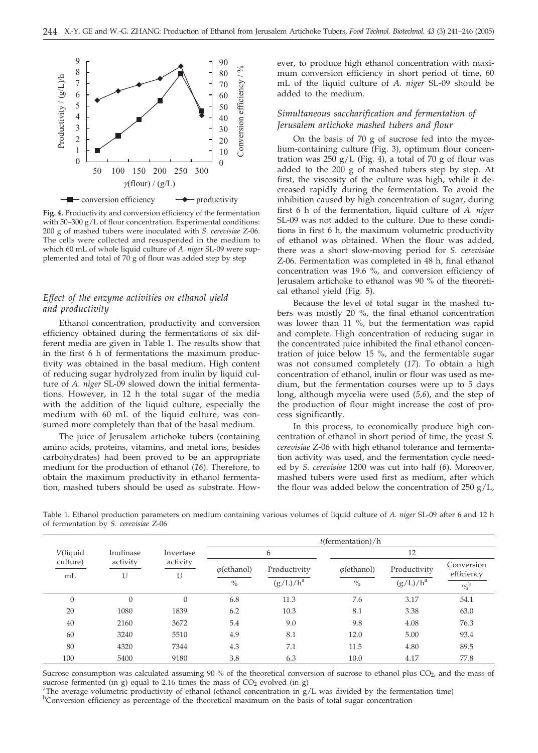

**Fig. 4.** Productivity and conversion efficiency of the fermentation with 50–300 g/L of flour concentration. Experimental conditions: 200 g of mashed tubers were inoculated with *S. cerevisiae* Z-06. The cells were collected and resuspended in the medium to which 60 mL of whole liquid culture of *A. niger* SL-09 were supplemented and total of 70 g of flour was added step by step

# *Effect of the enzyme activities on ethanol yield and productivity*

Ethanol concentration, productivity and conversion efficiency obtained during the fermentations of six different media are given in Table 1. The results show that in the first 6 h of fermentations the maximum productivity was obtained in the basal medium. High content of reducing sugar hydrolyzed from inulin by liquid culture of *A. niger* SL-09 slowed down the initial fermentations. However, in 12 h the total sugar of the media with the addition of the liquid culture, especially the medium with 60 mL of the liquid culture, was consumed more completely than that of the basal medium.

The juice of Jerusalem artichoke tubers (containing amino acids, proteins, vitamins, and metal ions, besides carbohydrates) had been proved to be an appropriate medium for the production of ethanol (*16*). Therefore, to obtain the maximum productivity in ethanol fermentation, mashed tubers should be used as substrate. However, to produce high ethanol concentration with maximum conversion efficiency in short period of time, 60 mL of the liquid culture of *A. niger* SL-09 should be added to the medium.

# *Simultaneous saccharification and fermentation of Jerusalem artichoke mashed tubers and flour*

On the basis of 70 g of sucrose fed into the mycelium-containing culture (Fig. 3), optimum flour concentration was  $250$  g/L (Fig. 4), a total of 70 g of flour was added to the 200 g of mashed tubers step by step. At first, the viscosity of the culture was high, while it decreased rapidly during the fermentation. To avoid the inhibition caused by high concentration of sugar, during first 6 h of the fermentation, liquid culture of *A. niger* SL-09 was not added to the culture. Due to these conditions in first 6 h, the maximum volumetric productivity of ethanol was obtained. When the flour was added, there was a short slow-moving period for *S. cerevisiae* Z-06. Fermentation was completed in 48 h, final ethanol concentration was 19.6 %, and conversion efficiency of Jerusalem artichoke to ethanol was 90 % of the theoretical ethanol yield (Fig. 5).

Because the level of total sugar in the mashed tubers was mostly 20 %, the final ethanol concentration was lower than 11 %, but the fermentation was rapid and complete. High concentration of reducing sugar in the concentrated juice inhibited the final ethanol concentration of juice below 15 %, and the fermentable sugar was not consumed completely (*17*). To obtain a high concentration of ethanol, inulin or flour was used as medium, but the fermentation courses were up to 5 days long, although mycelia were used (*5,6*), and the step of the production of flour might increase the cost of process significantly.

In this process, to economically produce high concentration of ethanol in short period of time, the yeast *S. cerevisiae* Z-06 with high ethanol tolerance and fermentation activity was used, and the fermentation cycle needed by *S. cerevisiae* 1200 was cut into half (*6*). Moreover, mashed tubers were used first as medium, after which the flour was added below the concentration of  $250$  g/L,

|          |                           |                       | $t$ (fermentation)/h |              |                     |              |                          |  |
|----------|---------------------------|-----------------------|----------------------|--------------|---------------------|--------------|--------------------------|--|
| V(liquid | Inulinase                 | Invertase<br>activity |                      | 6            | 12                  |              |                          |  |
| mL       | culture)<br>activity<br>U |                       | $\varphi$ (ethanol)  | Productivity | $\varphi$ (ethanol) | Productivity | Conversion<br>efficiency |  |
|          |                           |                       | $\%$                 | $(g/L)/h^a$  | $\%$                | $(g/L)/h^a$  | $\frac{1}{2}$            |  |
| $\theta$ | 0                         | $\Omega$              | 6.8                  | 11.3         | 7.6                 | 3.17         | 54.1                     |  |
| 20       | 1080                      | 1839                  | 6.2                  | 10.3         | 8.1                 | 3.38         | 63.0                     |  |
| 40       | 2160                      | 3672                  | 5.4                  | 9.0          | 9.8                 | 4.08         | 76.3                     |  |
| 60       | 3240                      | 5510                  | 4.9                  | 8.1          | 12.0                | 5.00         | 93.4                     |  |
| 80       | 4320                      | 7344                  | 4.3                  | 7.1          | 11.5                | 4.80         | 89.5                     |  |
| 100      | 5400                      | 9180                  | 3.8                  | 6.3          | 10.0                | 4.17         | 77.8                     |  |

Table 1. Ethanol production parameters on medium containing various volumes of liquid culture of *A. niger* SL-09 after 6 and 12 h of fermentation by *S. cerevisiae* Z-06

Sucrose consumption was calculated assuming 90 % of the theoretical conversion of sucrose to ethanol plus  $CO<sub>2</sub>$ , and the mass of sucrose fermented (in g) equal to 2.16 times the mass of  $CO<sub>2</sub>$  evolved (in g)

<sup>a</sup>The average volumetric productivity of ethanol (ethanol concentration in  $g/L$  was divided by the fermentation time) <sup>b</sup>Conversion efficiency as percentage of the theoretical maximum on the basis of total sugar concentration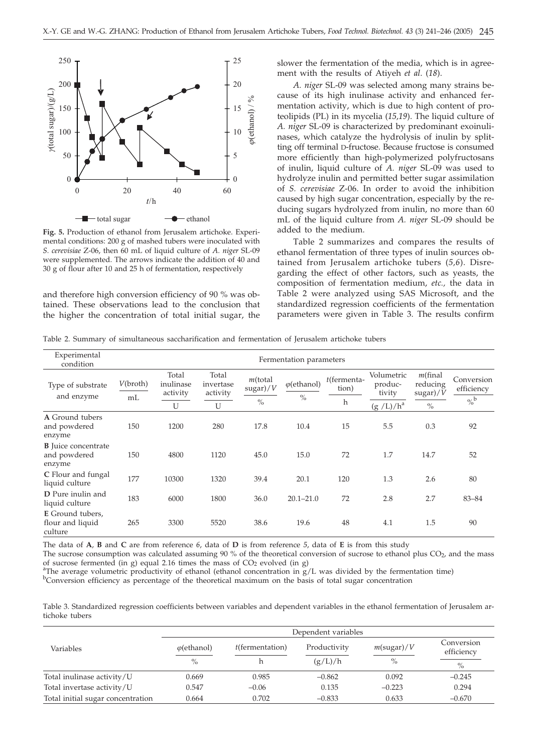

**Fig. 5.** Production of ethanol from Jerusalem artichoke. Experimental conditions: 200 g of mashed tubers were inoculated with *S. cerevisiae* Z-06, then 60 mL of liquid culture of *A. niger* SL-09 were supplemented. The arrows indicate the addition of 40 and 30 g of flour after 10 and 25 h of fermentation, respectively

and therefore high conversion efficiency of 90 % was obtained. These observations lead to the conclusion that the higher the concentration of total initial sugar, the

slower the fermentation of the media, which is in agreement with the results of Atiyeh *et al*. (*18*).

*A. niger* SL-09 was selected among many strains because of its high inulinase activity and enhanced fermentation activity, which is due to high content of proteolipids (PL) in its mycelia (*15,19*). The liquid culture of *A. niger* SL-09 is characterized by predominant exoinulinases, which catalyze the hydrolysis of inulin by splitting off terminal D-fructose. Because fructose is consumed more efficiently than high-polymerized polyfructosans of inulin, liquid culture of *A. niger* SL-09 was used to hydrolyze inulin and permitted better sugar assimilation of *S. cerevisiae* Z-06. In order to avoid the inhibition caused by high sugar concentration, especially by the reducing sugars hydrolyzed from inulin, no more than 60 mL of the liquid culture from *A. niger* SL-09 should be added to the medium.

Table 2 summarizes and compares the results of ethanol fermentation of three types of inulin sources obtained from Jerusalem artichoke tubers (*5,6*). Disregarding the effect of other factors, such as yeasts, the composition of fermentation medium, *etc.,* the data in Table 2 were analyzed using SAS Microsoft, and the standardized regression coefficients of the fermentation parameters were given in Table 3. The results confirm

Table 2. Summary of simultaneous saccharification and fermentation of Jerusalem artichoke tubers

| Experimental<br>condition                            | Fermentation parameters |                                     |                                     |                                         |                                      |                                        |                                                |                                                                   |                                           |
|------------------------------------------------------|-------------------------|-------------------------------------|-------------------------------------|-----------------------------------------|--------------------------------------|----------------------------------------|------------------------------------------------|-------------------------------------------------------------------|-------------------------------------------|
| Type of substrate<br>and enzyme                      | V(broth)<br>mL          | Total<br>inulinase<br>activity<br>U | Total<br>invertase<br>activity<br>U | $m$ (total<br>$\mbox{sugar})/V$<br>$\%$ | $\varphi$ (ethanol)<br>$\frac{0}{0}$ | $t$ (fermenta-<br>tion)<br>$\mathbf h$ | Volumetric<br>produc-<br>tivity<br>$(g/L)/h^a$ | $m$ (final<br>reducing<br>$\frac{\text{sugar}}{\text{V}}$<br>$\%$ | Conversion<br>efficiency<br>$\frac{6}{6}$ |
| A Ground tubers<br>and powdered<br>enzyme            | 150                     | 1200                                | 280                                 | 17.8                                    | 10.4                                 | 15                                     | 5.5                                            | 0.3                                                               | 92                                        |
| <b>B</b> Juice concentrate<br>and powdered<br>enzyme | 150                     | 4800                                | 1120                                | 45.0                                    | 15.0                                 | 72                                     | 1.7                                            | 14.7                                                              | 52                                        |
| C Flour and fungal<br>liquid culture                 | 177                     | 10300                               | 1320                                | 39.4                                    | 20.1                                 | 120                                    | 1.3                                            | 2.6                                                               | 80                                        |
| <b>D</b> Pure inulin and<br>liquid culture           | 183                     | 6000                                | 1800                                | 36.0                                    | $20.1 - 21.0$                        | 72                                     | 2.8                                            | 2.7                                                               | 83-84                                     |
| E Ground tubers,<br>flour and liquid<br>culture      | 265                     | 3300                                | 5520                                | 38.6                                    | 19.6                                 | 48                                     | 4.1                                            | 1.5                                                               | 90                                        |

The data of **A**, **B** and **C** are from reference *6*, data of **D** is from reference *5*, data of **E** is from this study

The sucrose consumption was calculated assuming 90 % of the theoretical conversion of sucrose to ethanol plus  $CO<sub>2</sub>$ , and the mass of sucrose fermented (in g) equal 2.16 times the mass of  $CO<sub>2</sub>$  evolved (in g)

<sup>a</sup>The average volumetric productivity of ethanol (ethanol concentration in  $g/L$  was divided by the fermentation time)

b Conversion efficiency as percentage of the theoretical maximum on the basis of total sugar concentration

Table 3. Standardized regression coefficients between variables and dependent variables in the ethanol fermentation of Jerusalem artichoke tubers

|                                   |                     |                    | Dependent variables |                  |                          |  |
|-----------------------------------|---------------------|--------------------|---------------------|------------------|--------------------------|--|
| Variables                         | $\varphi$ (ethanol) | $t$ (fermentation) | Productivity        | $m$ (sugar)/ $V$ | Conversion<br>efficiency |  |
|                                   | $\%$                |                    | (g/L)/h             | $\%$             | $\%$                     |  |
| Total inulinase activity/U        | 0.669               | 0.985              | $-0.862$            | 0.092            | $-0.245$                 |  |
| Total invertase activity/U        | 0.547               | $-0.06$            | 0.135               | $-0.223$         | 0.294                    |  |
| Total initial sugar concentration | 0.664               | 0.702              | $-0.833$            | 0.633            | $-0.670$                 |  |